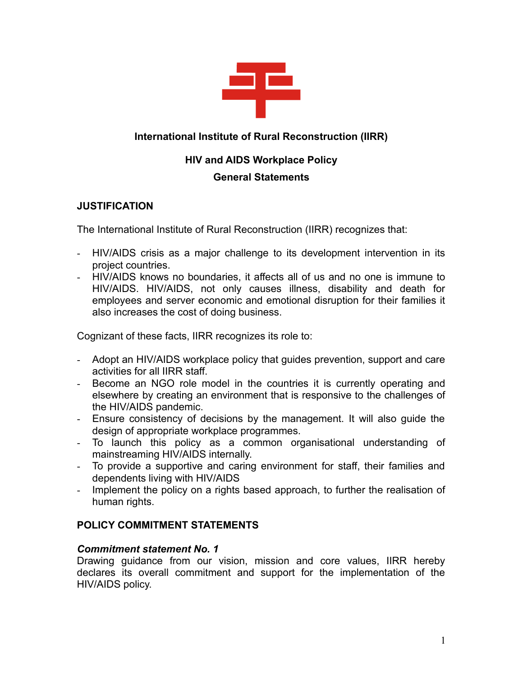

# **International Institute of Rural Reconstruction (IIRR)**

# **HIV and AIDS Workplace Policy**

# **General Statements**

# **JUSTIFICATION**

The International Institute of Rural Reconstruction (IIRR) recognizes that:

- HIV/AIDS crisis as a major challenge to its development intervention in its project countries.
- HIV/AIDS knows no boundaries, it affects all of us and no one is immune to HIV/AIDS. HIV/AIDS, not only causes illness, disability and death for employees and server economic and emotional disruption for their families it also increases the cost of doing business.

Cognizant of these facts, IIRR recognizes its role to:

- Adopt an HIV/AIDS workplace policy that guides prevention, support and care activities for all IIRR staff.
- Become an NGO role model in the countries it is currently operating and elsewhere by creating an environment that is responsive to the challenges of the HIV/AIDS pandemic.
- Ensure consistency of decisions by the management. It will also guide the design of appropriate workplace programmes.
- To launch this policy as a common organisational understanding of mainstreaming HIV/AIDS internally.
- To provide a supportive and caring environment for staff, their families and dependents living with HIV/AIDS
- Implement the policy on a rights based approach, to further the realisation of human rights.

# **POLICY COMMITMENT STATEMENTS**

# *Commitment statement No. 1*

Drawing guidance from our vision, mission and core values, IIRR hereby declares its overall commitment and support for the implementation of the HIV/AIDS policy.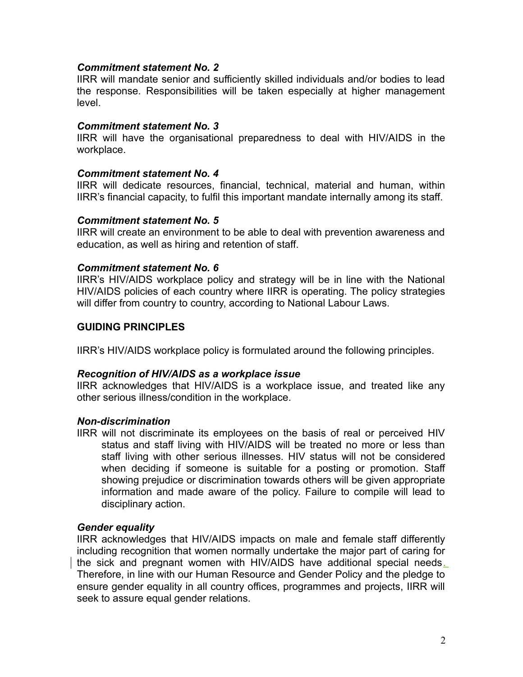## *Commitment statement No. 2*

IIRR will mandate senior and sufficiently skilled individuals and/or bodies to lead the response. Responsibilities will be taken especially at higher management level.

#### *Commitment statement No. 3*

IIRR will have the organisational preparedness to deal with HIV/AIDS in the workplace.

#### *Commitment statement No. 4*

IIRR will dedicate resources, financial, technical, material and human, within IIRR's financial capacity, to fulfil this important mandate internally among its staff.

#### *Commitment statement No. 5*

IIRR will create an environment to be able to deal with prevention awareness and education, as well as hiring and retention of staff.

### *Commitment statement No. 6*

IIRR's HIV/AIDS workplace policy and strategy will be in line with the National HIV/AIDS policies of each country where IIRR is operating. The policy strategies will differ from country to country, according to National Labour Laws.

### **GUIDING PRINCIPLES**

IIRR's HIV/AIDS workplace policy is formulated around the following principles.

#### *Recognition of HIV/AIDS as a workplace issue*

IIRR acknowledges that HIV/AIDS is a workplace issue, and treated like any other serious illness/condition in the workplace.

## *Non-discrimination*

IIRR will not discriminate its employees on the basis of real or perceived HIV status and staff living with HIV/AIDS will be treated no more or less than staff living with other serious illnesses. HIV status will not be considered when deciding if someone is suitable for a posting or promotion. Staff showing prejudice or discrimination towards others will be given appropriate information and made aware of the policy. Failure to compile will lead to disciplinary action.

#### *Gender equality*

IIRR acknowledges that HIV/AIDS impacts on male and female staff differently including recognition that women normally undertake the major part of caring for the sick and pregnant women with HIV/AIDS have additional special needs. Therefore, in line with our Human Resource and Gender Policy and the pledge to ensure gender equality in all country offices, programmes and projects, IIRR will seek to assure equal gender relations.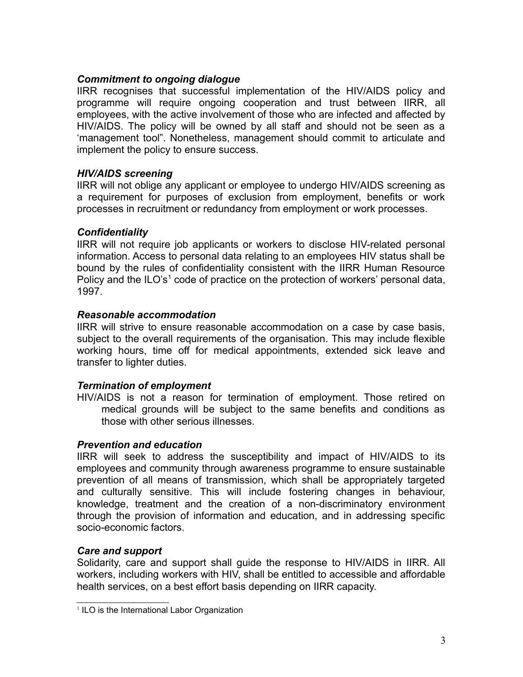# *Commitment to ongoing dialogue*

IIRR recognises that successful implementation of the HIV/AIDS policy and programme will require ongoing cooperation and trust between IIRR, all employees, with the active involvement of those who are infected and affected by HIV/AIDS. The policy will be owned by all staff and should not be seen as a 'management tool". Nonetheless, management should commit to articulate and implement the policy to ensure success.

# *HIV/AIDS screening*

IIRR will not oblige any applicant or employee to undergo HIV/AIDS screening as a requirement for purposes of exclusion from employment, benefits or work processes in recruitment or redundancy from employment or work processes.

# *Confidentiality*

IIRR will not require job applicants or workers to disclose HIV-related personal information. Access to personal data relating to an employees HIV status shall be bound by the rules of confidentiality consistent with the IIRR Human Resource Policy and the ILO's<sup>[1](#page-2-0)</sup> code of practice on the protection of workers' personal data, 1997.

# *Reasonable accommodation*

IIRR will strive to ensure reasonable accommodation on a case by case basis, subject to the overall requirements of the organisation. This may include flexible working hours, time off for medical appointments, extended sick leave and transfer to lighter duties.

# *Termination of employment*

HIV/AIDS is not a reason for termination of employment. Those retired on medical grounds will be subject to the same benefits and conditions as those with other serious illnesses.

# *Prevention and education*

IIRR will seek to address the susceptibility and impact of HIV/AIDS to its employees and community through awareness programme to ensure sustainable prevention of all means of transmission, which shall be appropriately targeted and culturally sensitive. This will include fostering changes in behaviour, knowledge, treatment and the creation of a non-discriminatory environment through the provision of information and education, and in addressing specific socio-economic factors.

# *Care and support*

Solidarity, care and support shall guide the response to HIV/AIDS in IIRR. All workers, including workers with HIV, shall be entitled to accessible and affordable health services, on a best effort basis depending on IIRR capacity.

<span id="page-2-0"></span><sup>&</sup>lt;sup>1</sup> ILO is the International Labor Organization